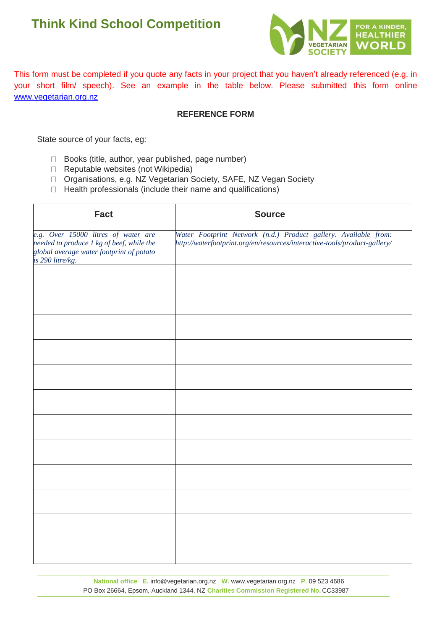# **Think Kind School Competition**



This form must be completed if you quote any facts in your project that you haven't already referenced (e.g. in your short film/ speech). See an example in the table below. Please submitted this form online www.vegetarian.org.nz

#### **REFERENCE FORM**

State source of your facts, eg:

- $\Box$  Books (title, author, year published, page number)
- $\Box$  Reputable websites (not Wikipedia)
- □ Organisations, e.g. NZ Vegetarian Society, SAFE, NZ Vegan Society
- $\Box$  Health professionals (include their name and qualifications)

| <b>Fact</b>                                                                                                                                      | <b>Source</b>                                                                                                                                |  |
|--------------------------------------------------------------------------------------------------------------------------------------------------|----------------------------------------------------------------------------------------------------------------------------------------------|--|
| e.g. Over 15000 litres of water are<br>needed to produce 1 kg of beef, while the<br>global average water footprint of potato<br>is 290 litre/kg. | Water Footprint Network (n.d.) Product gallery. Available from:<br>http://waterfootprint.org/en/resources/interactive-tools/product-gallery/ |  |
|                                                                                                                                                  |                                                                                                                                              |  |
|                                                                                                                                                  |                                                                                                                                              |  |
|                                                                                                                                                  |                                                                                                                                              |  |
|                                                                                                                                                  |                                                                                                                                              |  |
|                                                                                                                                                  |                                                                                                                                              |  |
|                                                                                                                                                  |                                                                                                                                              |  |
|                                                                                                                                                  |                                                                                                                                              |  |
|                                                                                                                                                  |                                                                                                                                              |  |
|                                                                                                                                                  |                                                                                                                                              |  |
|                                                                                                                                                  |                                                                                                                                              |  |
|                                                                                                                                                  |                                                                                                                                              |  |
|                                                                                                                                                  |                                                                                                                                              |  |

**National office E.** [info@vegetarian.org.nz](mailto:info@vegetarian.org.nz) **W.** [www.vegetarian.org.nz](http://www.vegetarian.org.nz/) **P.** 09 523 4686 PO Box 26664, Epsom, Auckland 1344, NZ **Charities Commission Registered No.** CC33987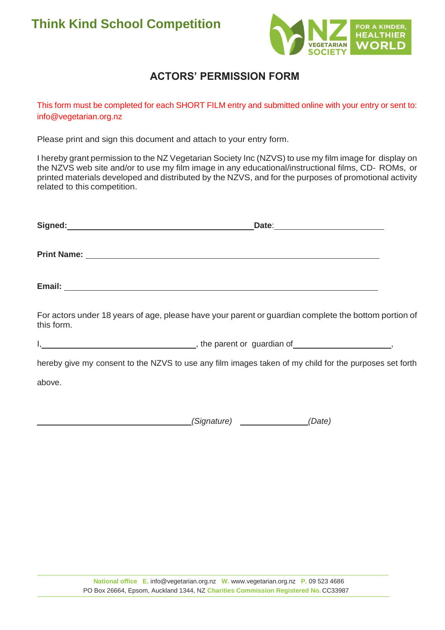

## **ACTORS' PERMISSION FORM**

This form must be completed for each SHORT FILM entry and submitted online with your entry or sent to: [info@vegetarian.org.nz](mailto:info@vegetarian.org.nz) 

Please print and sign this document and attach to your entry form.

I hereby grant permission to the NZ Vegetarian Society Inc (NZVS) to use my film image for display on the NZVS web site and/or to use my film image in any educational/instructional films, CD- ROMs, or printed materials developed and distributed by the NZVS, and for the purposes of promotional activity related to this competition.

|            | Signed: experience and a series of the series of the series of the series of the series of the series of the series of the series of the series of the series of the series of the series of the series of the series of the s |  |
|------------|--------------------------------------------------------------------------------------------------------------------------------------------------------------------------------------------------------------------------------|--|
|            |                                                                                                                                                                                                                                |  |
|            |                                                                                                                                                                                                                                |  |
| this form. | For actors under 18 years of age, please have your parent or guardian complete the bottom portion of                                                                                                                           |  |
|            | I, 1. 2008 and 2010 and 2010 and 2010 and 2010 and 2010 and 2010 and 2010 and 2010 and 2010 and 2010 and 2011 and 2011 and 2011 and 2011 and 2011 and 2011 and 2011 and 2011 and 2011 and 2011 and 2011 and 2011 and 2011 and  |  |
|            | hereby give my consent to the NZVS to use any film images taken of my child for the purposes set forth                                                                                                                         |  |
| above.     |                                                                                                                                                                                                                                |  |
|            |                                                                                                                                                                                                                                |  |
|            | (Signature) (Signature Allertine According Chate)                                                                                                                                                                              |  |
|            |                                                                                                                                                                                                                                |  |
|            |                                                                                                                                                                                                                                |  |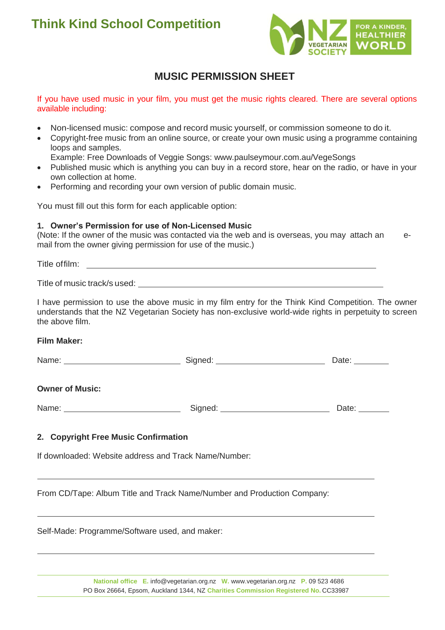

### **MUSIC PERMISSION SHEET**

If you have used music in your film, you must get the music rights cleared. There are several options available including:

- Non-licensed music: compose and record music yourself, or commission someone to do it.
- Copyright-free music from an online source, or create your own music using a programme containing loops and samples.
	- Example: Free Downloads of Veggie Songs: [www.paulseymour.com.au/VegeSongs](http://www.paulseymour.com.au/VegeSongs)
- Published music which is anything you can buy in a record store, hear on the radio, or have in your own collection at home.
- Performing and recording your own version of public domain music.

You must fill out this form for each applicable option:

#### **1. Owner's Permission for use of Non-Licensed Music**

(Note: If the owner of the music was contacted via the web and is overseas, you may attach an email from the owner giving permission for use of the music.)

Title of music track/s used:

I have permission to use the above music in my film entry for the Think Kind Competition. The owner understands that the NZ Vegetarian Society has non-exclusive world-wide rights in perpetuity to screen the above film.

#### **Film Maker:**

| Name: |  | iate:<br>_____ |
|-------|--|----------------|
|-------|--|----------------|

#### **Owner of Music:**

| Name: | sianed: | Jate: |
|-------|---------|-------|
|-------|---------|-------|

#### **2. Copyright Free Music Confirmation**

If downloaded: Website address and Track Name/Number:

From CD/Tape: Album Title and Track Name/Number and Production Company:

Self-Made: Programme/Software used, and maker:

**National office E.** [info@vegetarian.org.nz](mailto:info@vegetarian.org.nz) **W.** [www.vegetarian.org.nz](http://www.vegetarian.org.nz/) **P.** 09 523 4686 PO Box 26664, Epsom, Auckland 1344, NZ **Charities Commission Registered No.** CC33987